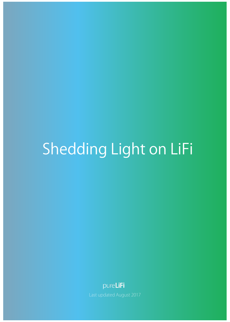# Shedding Light on LiFi

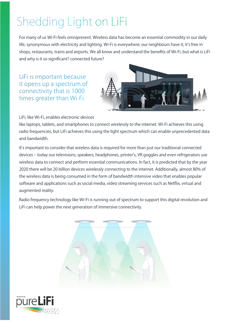## Shedding Light on LiFi

For many of us Wi-Fi feels omnipresent. Wireless data has become an essential commodity in our daily life, synonymous with electricity and lighting. Wi-Fi is everywhere; our neighbours have it, it's free in shops, restaurants, trains and airports. We all know and understand the benefits of Wi-Fi, but what is LiFi and why is it so significant? connected future?

LiFi is important because it opens up a spectrum of connectivity that is 1000 times greater than Wi-Fi.



LiFi, like Wi-Fi, enables electronic devices

like laptops, tablets, and smartphones to connect wirelessly to the internet. Wi-Fi achieves this using radio frequencies, but LiFi achieves this using the light spectrum which can enable unprecedented data and bandwidth.

It's important to consider that wireless data is required for more than just our traditional connected devices – today our televisions, speakers, headphones, printer's, VR goggles and even refrigerators use wireless data to connect and perform essential communications. In fact, it is predicted that by the year 2020 there will be 20 billion devices wirelessly connecting to the internet. Additionally, almost 80% of the wireless data is being consumed in the form of bandwidth intensive video that enables popular software and applications such as social media, video streaming services such as Netflix, virtual and augmented reality.

Radio frequency technology like Wi-Fi is running out of spectrum to support this digital revolution and LiFi can help power the next generation of immersive connectivity.



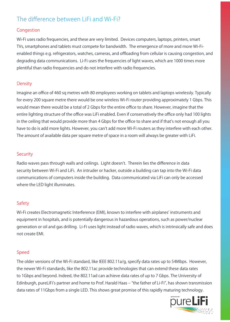### The difference between LiFi and Wi-Fi?

#### Congestion

Wi-Fi uses radio frequencies, and these are very limited. Devices computers, laptops, printers, smart TVs, smartphones and tablets must compete for bandwidth. The emergence of more and more Wi-Fienabled things e.g. refrigerators, watches, cameras, and offloading from cellular is causing congestion, and degrading data communications. Li-Fi uses the frequencies of light waves, which are 1000 times more plentiful than radio frequencies and do not interfere with radio frequencies.

#### **Density**

Imagine an office of 460 sq metres with 80 employees working on tablets and laptops wirelessly. Typically for every 200 square metre there would be one wireless Wi-Fi router providing approximately 1 Gbps. This would mean there would be a total of 2 Gbps for the entire office to share. However, imagine that the entire lighting structure of the office was LiFi enabled. Even if conservatively the office only had 100 lights in the ceiling that would provide more than 4 Gbps for the office to share and if that's not enough all you have to do is add more lights. However, you can't add more Wi-Fi routers as they interfere with each other. The amount of available data per square metre of space in a room will always be greater with LiFi.

#### **Security**

Radio waves pass through walls and ceilings. Light doesn't. Therein lies the difference in data security between Wi-Fi and LiFi. An intruder or hacker, outside a building can tap into the Wi-Fi data communications of computers inside the building. Data communicated via LiFi can only be accessed where the LED light illuminates.

#### **Safety**

Wi-Fi creates Electromagnetic Interference (EMI), known to interfere with airplanes' instruments and equipment in hospitals, and is potentially dangerous in hazardous operations, such as power/nuclear generation or oil and gas drilling. Li-Fi uses light instead of radio waves, which is intrinsically safe and does not create EMI.

#### Speed

The older versions of the Wi-Fi standard, like IEEE 802.11a/g, specify data rates up to 54Mbps. However, the newer Wi-Fi standards, like the 802.11ac provide technologies that can extend these data rates to 1Gbps and beyond. Indeed, the 802.11ad can achieve data rates of up to 7 Gbps. The University of Edinburgh, pureLiFi's partner and home to Prof. Harald Haas – "the father of Li-Fi", has shown transmission data rates of 11Gbps from a single LED. This shows great promise of this rapidly maturing technology.